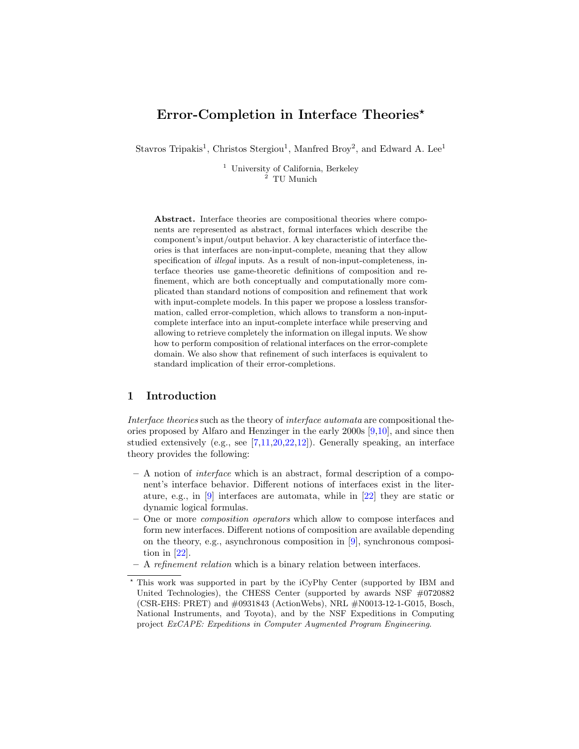# Error-Completion in Interface Theories<sup>\*</sup>

Stavros Tripakis<sup>1</sup>, Christos Stergiou<sup>1</sup>, Manfred Broy<sup>2</sup>, and Edward A. Lee<sup>1</sup>

<sup>1</sup> University of California, Berkeley  $^{2}$  TU Munich

Abstract. Interface theories are compositional theories where components are represented as abstract, formal interfaces which describe the component's input/output behavior. A key characteristic of interface theories is that interfaces are non-input-complete, meaning that they allow specification of *illegal* inputs. As a result of non-input-completeness, interface theories use game-theoretic definitions of composition and refinement, which are both conceptually and computationally more complicated than standard notions of composition and refinement that work with input-complete models. In this paper we propose a lossless transformation, called error-completion, which allows to transform a non-inputcomplete interface into an input-complete interface while preserving and allowing to retrieve completely the information on illegal inputs. We show how to perform composition of relational interfaces on the error-complete domain. We also show that refinement of such interfaces is equivalent to standard implication of their error-completions.

## 1 Introduction

Interface theories such as the theory of interface automata are compositional theories proposed by Alfaro and Henzinger in the early 2000s [\[9,](#page-17-0)[10\]](#page-17-1), and since then studied extensively (e.g., see [\[7,](#page-17-2)[11,](#page-17-3)[20,](#page-17-4)[22](#page-17-5)[,12\]](#page-17-6)). Generally speaking, an interface theory provides the following:

- A notion of interface which is an abstract, formal description of a component's interface behavior. Different notions of interfaces exist in the literature, e.g., in  $[9]$  interfaces are automata, while in  $[22]$  they are static or dynamic logical formulas.
- One or more composition operators which allow to compose interfaces and form new interfaces. Different notions of composition are available depending on the theory, e.g., asynchronous composition in [\[9\]](#page-17-0), synchronous composition in [\[22\]](#page-17-5).
- A refinement relation which is a binary relation between interfaces.

<sup>?</sup> This work was supported in part by the iCyPhy Center (supported by IBM and United Technologies), the CHESS Center (supported by awards NSF #0720882 (CSR-EHS: PRET) and #0931843 (ActionWebs), NRL #N0013-12-1-G015, Bosch, National Instruments, and Toyota), and by the NSF Expeditions in Computing project ExCAPE: Expeditions in Computer Augmented Program Engineering.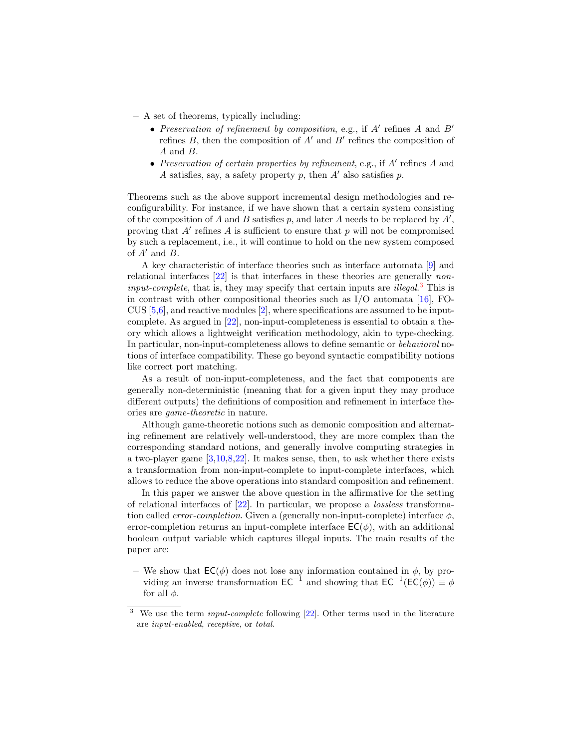- A set of theorems, typically including:
	- Preservation of refinement by composition, e.g., if  $A'$  refines  $A$  and  $B'$ refines  $B$ , then the composition of  $A'$  and  $B'$  refines the composition of A and B.
	- Preservation of certain properties by refinement, e.g., if  $A'$  refines  $A$  and A satisfies, say, a safety property p, then  $A'$  also satisfies p.

Theorems such as the above support incremental design methodologies and reconfigurability. For instance, if we have shown that a certain system consisting of the composition of  $A$  and  $B$  satisfies  $p$ , and later  $A$  needs to be replaced by  $A'$ , proving that  $A'$  refines  $A$  is sufficient to ensure that  $p$  will not be compromised by such a replacement, i.e., it will continue to hold on the new system composed of  $A'$  and  $B$ .

A key characteristic of interface theories such as interface automata [\[9\]](#page-17-0) and relational interfaces [\[22\]](#page-17-5) is that interfaces in these theories are generally noninput-complete, that is, they may specify that certain inputs are *illegal*.<sup>[3](#page-1-0)</sup> This is in contrast with other compositional theories such as  $I/O$  automata [\[16\]](#page-17-7), FO-CUS  $[5,6]$  $[5,6]$ , and reactive modules  $[2]$ , where specifications are assumed to be inputcomplete. As argued in [\[22\]](#page-17-5), non-input-completeness is essential to obtain a theory which allows a lightweight verification methodology, akin to type-checking. In particular, non-input-completeness allows to define semantic or behavioral notions of interface compatibility. These go beyond syntactic compatibility notions like correct port matching.

As a result of non-input-completeness, and the fact that components are generally non-deterministic (meaning that for a given input they may produce different outputs) the definitions of composition and refinement in interface theories are game-theoretic in nature.

Although game-theoretic notions such as demonic composition and alternating refinement are relatively well-understood, they are more complex than the corresponding standard notions, and generally involve computing strategies in a two-player game [\[3,](#page-17-11)[10](#page-17-1)[,8,](#page-17-12)[22\]](#page-17-5). It makes sense, then, to ask whether there exists a transformation from non-input-complete to input-complete interfaces, which allows to reduce the above operations into standard composition and refinement.

In this paper we answer the above question in the affirmative for the setting of relational interfaces of [\[22\]](#page-17-5). In particular, we propose a lossless transformation called *error-completion*. Given a (generally non-input-complete) interface  $\phi$ , error-completion returns an input-complete interface  $EC(\phi)$ , with an additional boolean output variable which captures illegal inputs. The main results of the paper are:

– We show that  $EC(\phi)$  does not lose any information contained in  $\phi$ , by providing an inverse transformation  $\mathsf{EC}^{-1}$  and showing that  $\mathsf{EC}^{-1}(\mathsf{EC}(\phi)) \equiv \phi$ for all  $\phi$ .

<span id="page-1-0"></span><sup>&</sup>lt;sup>3</sup> We use the term *input-complete* following  $[22]$ . Other terms used in the literature are input-enabled, receptive, or total.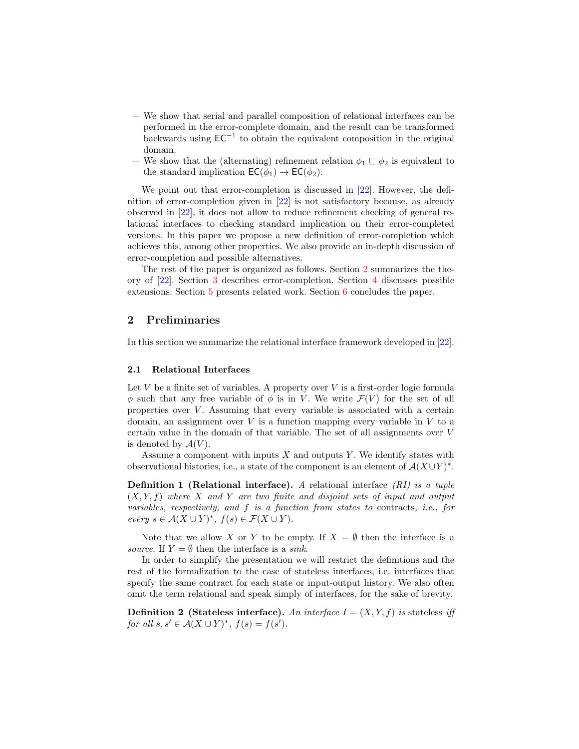- We show that serial and parallel composition of relational interfaces can be performed in the error-complete domain, and the result can be transformed backwards using  $EC^{-1}$  to obtain the equivalent composition in the original domain.
- We show that the (alternating) refinement relation  $\phi_1 \subseteq \phi_2$  is equivalent to the standard implication  $EC(\phi_1) \rightarrow EC(\phi_2)$ .

We point out that error-completion is discussed in [\[22\]](#page-17-5). However, the definition of error-completion given in [\[22\]](#page-17-5) is not satisfactory because, as already observed in [\[22\]](#page-17-5), it does not allow to reduce refinement checking of general relational interfaces to checking standard implication on their error-completed versions. In this paper we propose a new definition of error-completion which achieves this, among other properties. We also provide an in-depth discussion of error-completion and possible alternatives.

The rest of the paper is organized as follows. Section [2](#page-2-0) summarizes the theory of [\[22\]](#page-17-5). Section [3](#page-7-0) describes error-completion. Section [4](#page-13-0) discusses possible extensions. Section [5](#page-15-0) presents related work. Section [6](#page-16-0) concludes the paper.

### <span id="page-2-0"></span>2 Preliminaries

In this section we summarize the relational interface framework developed in [\[22\]](#page-17-5).

### 2.1 Relational Interfaces

Let  $V$  be a finite set of variables. A property over  $V$  is a first-order logic formula  $\phi$  such that any free variable of  $\phi$  is in V. We write  $\mathcal{F}(V)$  for the set of all properties over  $V$ . Assuming that every variable is associated with a certain domain, an assignment over  $V$  is a function mapping every variable in  $V$  to a certain value in the domain of that variable. The set of all assignments over V is denoted by  $\mathcal{A}(V)$ .

Assume a component with inputs  $X$  and outputs  $Y$ . We identify states with observational histories, i.e., a state of the component is an element of  $\mathcal{A}(X \cup Y)^*$ .

**Definition 1 (Relational interface).** A relational interface  $(RI)$  is a tuple  $(X, Y, f)$  where X and Y are two finite and disjoint sets of input and output variables, respectively, and f is a function from states to contracts, i.e., for every  $s \in \mathcal{A}(X \cup Y)^*$ ,  $f(s) \in \mathcal{F}(X \cup Y)$ .

Note that we allow X or Y to be empty. If  $X = \emptyset$  then the interface is a source. If  $Y = \emptyset$  then the interface is a sink.

In order to simplify the presentation we will restrict the definitions and the rest of the formalization to the case of stateless interfaces, i.e. interfaces that specify the same contract for each state or input-output history. We also often omit the term relational and speak simply of interfaces, for the sake of brevity.

**Definition 2** (Stateless interface). An interface  $I = (X, Y, f)$  is stateless iff for all  $s, s' \in \mathcal{A}(X \cup Y)^*$ ,  $f(s) = f(s')$ .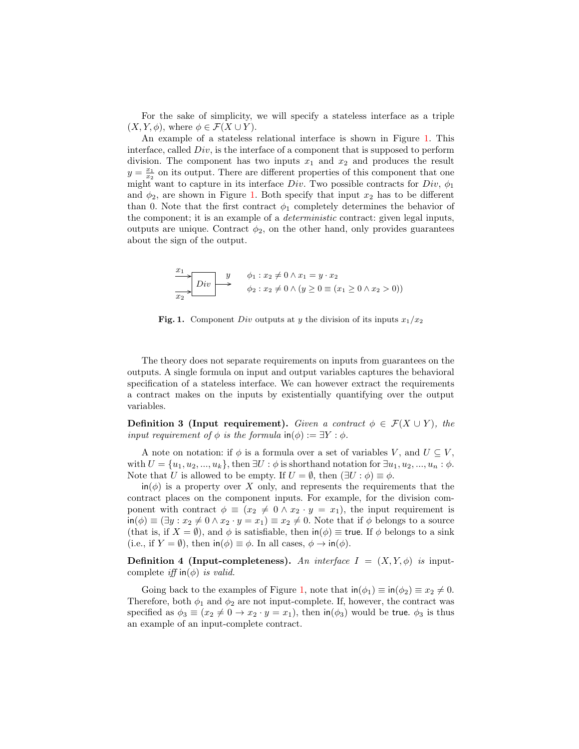For the sake of simplicity, we will specify a stateless interface as a triple  $(X, Y, \phi)$ , where  $\phi \in \mathcal{F}(X \cup Y)$ .

An example of a stateless relational interface is shown in Figure [1.](#page-3-0) This interface, called  $Div$ , is the interface of a component that is supposed to perform division. The component has two inputs  $x_1$  and  $x_2$  and produces the result  $y = \frac{x_1}{x_2}$  on its output. There are different properties of this component that one might want to capture in its interface  $Div$ . Two possible contracts for  $Div$ ,  $\phi_1$ and  $\phi_2$ , are shown in Figure [1.](#page-3-0) Both specify that input  $x_2$  has to be different than 0. Note that the first contract  $\phi_1$  completely determines the behavior of the component; it is an example of a deterministic contract: given legal inputs, outputs are unique. Contract  $\phi_2$ , on the other hand, only provides guarantees about the sign of the output.

<span id="page-3-0"></span>
$$
\begin{array}{c}\nx_1 \\
\hline\nx_2\n\end{array}
$$
\n
$$
Div \rightarrow \begin{array}{c}\ny \\
\hline\n\end{array}
$$
\n
$$
\phi_1: x_2 \neq 0 \land x_1 = y \cdot x_2
$$
\n
$$
\phi_2: x_2 \neq 0 \land (y \geq 0 \equiv (x_1 \geq 0 \land x_2 > 0))
$$

Fig. 1. Component Div outputs at y the division of its inputs  $x_1/x_2$ 

The theory does not separate requirements on inputs from guarantees on the outputs. A single formula on input and output variables captures the behavioral specification of a stateless interface. We can however extract the requirements a contract makes on the inputs by existentially quantifying over the output variables.

**Definition 3 (Input requirement).** Given a contract  $\phi \in \mathcal{F}(X \cup Y)$ , the input requirement of  $\phi$  is the formula in( $\phi$ ) :=  $\exists Y : \phi$ .

A note on notation: if  $\phi$  is a formula over a set of variables V, and  $U \subseteq V$ , with  $U = \{u_1, u_2, ..., u_k\}$ , then  $\exists U : \phi$  is shorthand notation for  $\exists u_1, u_2, ..., u_n : \phi$ . Note that U is allowed to be empty. If  $U = \emptyset$ , then  $(\exists U : \phi) \equiv \phi$ .

 $\mathsf{in}(\phi)$  is a property over X only, and represents the requirements that the contract places on the component inputs. For example, for the division component with contract  $\phi \equiv (x_2 \neq 0 \land x_2 \cdot y = x_1)$ , the input requirement is  $\sin(\phi) \equiv (\exists y : x_2 \neq 0 \land x_2 \cdot y = x_1) \equiv x_2 \neq 0$ . Note that if  $\phi$  belongs to a source (that is, if  $X = \emptyset$ ), and  $\phi$  is satisfiable, then  $\text{in}(\phi) \equiv \text{true}$ . If  $\phi$  belongs to a sink (i.e., if  $Y = \emptyset$ ), then  $\mathsf{in}(\phi) \equiv \phi$ . In all cases,  $\phi \to \mathsf{in}(\phi)$ .

**Definition 4 (Input-completeness).** An interface  $I = (X, Y, \phi)$  is inputcomplete iff  $\text{in}(\phi)$  is valid.

Going back to the examples of Figure [1,](#page-3-0) note that  $\text{in}(\phi_1) \equiv \text{in}(\phi_2) \equiv x_2 \neq 0$ . Therefore, both  $\phi_1$  and  $\phi_2$  are not input-complete. If, however, the contract was specified as  $\phi_3 \equiv (x_2 \neq 0 \rightarrow x_2 \cdot y = x_1)$ , then in $(\phi_3)$  would be true.  $\phi_3$  is thus an example of an input-complete contract.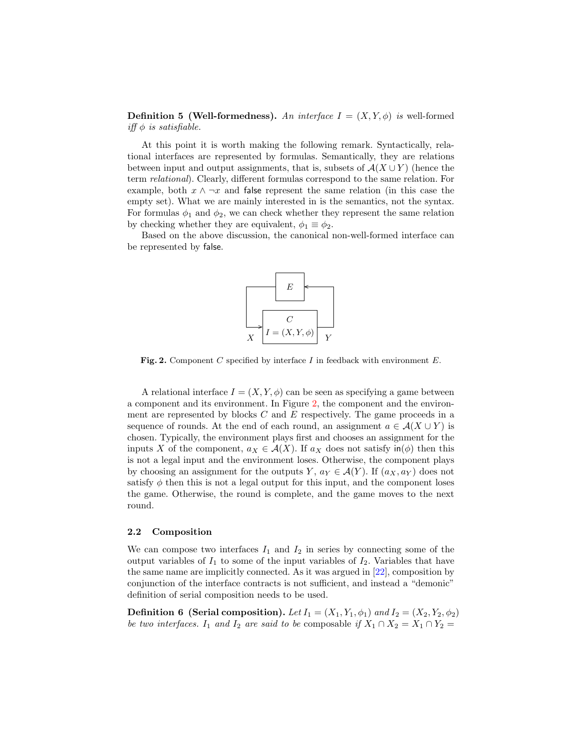**Definition 5 (Well-formedness).** An interface  $I = (X, Y, \phi)$  is well-formed iff  $\phi$  is satisfiable.

At this point it is worth making the following remark. Syntactically, relational interfaces are represented by formulas. Semantically, they are relations between input and output assignments, that is, subsets of  $\mathcal{A}(X \cup Y)$  (hence the term relational). Clearly, different formulas correspond to the same relation. For example, both  $x \wedge \neg x$  and false represent the same relation (in this case the empty set). What we are mainly interested in is the semantics, not the syntax. For formulas  $\phi_1$  and  $\phi_2$ , we can check whether they represent the same relation by checking whether they are equivalent,  $\phi_1 \equiv \phi_2$ .

Based on the above discussion, the canonical non-well-formed interface can be represented by false.

<span id="page-4-0"></span>

Fig. 2. Component C specified by interface I in feedback with environment  $E$ .

A relational interface  $I = (X, Y, \phi)$  can be seen as specifying a game between a component and its environment. In Figure [2,](#page-4-0) the component and the environment are represented by blocks  $C$  and  $E$  respectively. The game proceeds in a sequence of rounds. At the end of each round, an assignment  $a \in \mathcal{A}(X \cup Y)$  is chosen. Typically, the environment plays first and chooses an assignment for the inputs X of the component,  $a_X \in \mathcal{A}(X)$ . If  $a_X$  does not satisfy in( $\phi$ ) then this is not a legal input and the environment loses. Otherwise, the component plays by choosing an assignment for the outputs Y,  $a_Y \in \mathcal{A}(Y)$ . If  $(a_X, a_Y)$  does not satisfy  $\phi$  then this is not a legal output for this input, and the component loses the game. Otherwise, the round is complete, and the game moves to the next round.

#### 2.2 Composition

We can compose two interfaces  $I_1$  and  $I_2$  in series by connecting some of the output variables of  $I_1$  to some of the input variables of  $I_2$ . Variables that have the same name are implicitly connected. As it was argued in [\[22\]](#page-17-5), composition by conjunction of the interface contracts is not sufficient, and instead a "demonic" definition of serial composition needs to be used.

**Definition 6 (Serial composition).** Let  $I_1 = (X_1, Y_1, \phi_1)$  and  $I_2 = (X_2, Y_2, \phi_2)$ be two interfaces. I<sub>1</sub> and I<sub>2</sub> are said to be composable if  $X_1 \cap X_2 = X_1 \cap Y_2 =$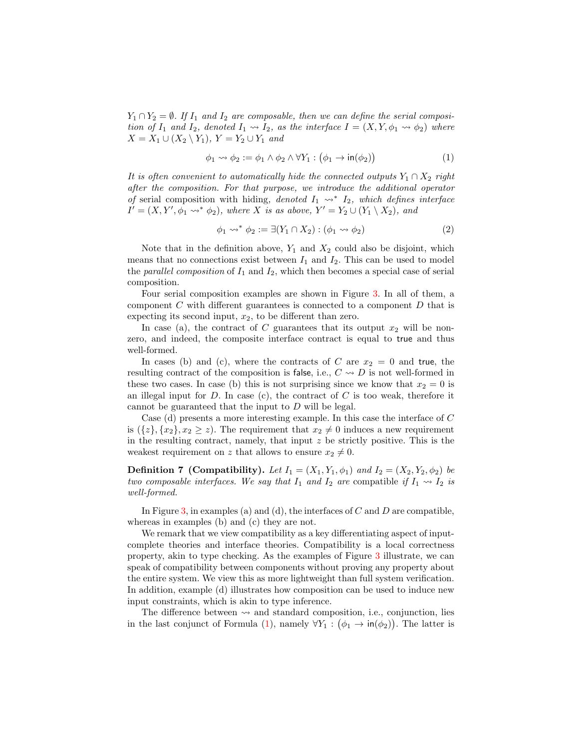$Y_1 \cap Y_2 = \emptyset$ . If  $I_1$  and  $I_2$  are composable, then we can define the serial composition of  $I_1$  and  $I_2$ , denoted  $I_1 \rightsquigarrow I_2$ , as the interface  $I = (X, Y, \phi_1 \rightsquigarrow \phi_2)$  where  $X = X_1 \cup (X_2 \setminus Y_1), Y = Y_2 \cup Y_1$  and

<span id="page-5-0"></span>
$$
\phi_1 \rightsquigarrow \phi_2 := \phi_1 \land \phi_2 \land \forall Y_1 : (\phi_1 \to \mathsf{in}(\phi_2))
$$
\n<sup>(1)</sup>

It is often convenient to automatically hide the connected outputs  $Y_1 \cap X_2$  right after the composition. For that purpose, we introduce the additional operator of serial composition with hiding, denoted  $I_1 \rightarrow Y I_2$ , which defines interface  $I' = (X, Y', \phi_1 \leadsto^* \phi_2)$ , where X is as above,  $Y' = Y_2 \cup (Y_1 \setminus X_2)$ , and

$$
\phi_1 \leadsto^* \phi_2 := \exists (Y_1 \cap X_2) : (\phi_1 \leadsto \phi_2) \tag{2}
$$

Note that in the definition above,  $Y_1$  and  $X_2$  could also be disjoint, which means that no connections exist between  $I_1$  and  $I_2$ . This can be used to model the *parallel composition* of  $I_1$  and  $I_2$ , which then becomes a special case of serial composition.

Four serial composition examples are shown in Figure [3.](#page-6-0) In all of them, a component  $C$  with different guarantees is connected to a component  $D$  that is expecting its second input,  $x_2$ , to be different than zero.

In case (a), the contract of C guarantees that its output  $x_2$  will be nonzero, and indeed, the composite interface contract is equal to true and thus well-formed.

In cases (b) and (c), where the contracts of C are  $x_2 = 0$  and true, the resulting contract of the composition is false, i.e.,  $C \rightsquigarrow D$  is not well-formed in these two cases. In case (b) this is not surprising since we know that  $x_2 = 0$  is an illegal input for  $D$ . In case  $(c)$ , the contract of  $C$  is too weak, therefore it cannot be guaranteed that the input to D will be legal.

Case (d) presents a more interesting example. In this case the interface of C is  $({z}, {x_2}, {x_2 \ge z})$ . The requirement that  $x_2 \ne 0$  induces a new requirement in the resulting contract, namely, that input  $z$  be strictly positive. This is the weakest requirement on z that allows to ensure  $x_2 \neq 0$ .

**Definition 7 (Compatibility).** Let  $I_1 = (X_1, Y_1, \phi_1)$  and  $I_2 = (X_2, Y_2, \phi_2)$  be two composable interfaces. We say that  $I_1$  and  $I_2$  are compatible if  $I_1 \rightsquigarrow I_2$  is well-formed.

In Figure [3,](#page-6-0) in examples (a) and (d), the interfaces of  $C$  and  $D$  are compatible, whereas in examples (b) and (c) they are not.

We remark that we view compatibility as a key differentiating aspect of inputcomplete theories and interface theories. Compatibility is a local correctness property, akin to type checking. As the examples of Figure [3](#page-6-0) illustrate, we can speak of compatibility between components without proving any property about the entire system. We view this as more lightweight than full system verification. In addition, example (d) illustrates how composition can be used to induce new input constraints, which is akin to type inference.

The difference between  $\rightsquigarrow$  and standard composition, i.e., conjunction, lies in the last conjunct of Formula [\(1\)](#page-5-0), namely  $\forall Y_1 : (\phi_1 \to \text{in}(\phi_2))$ . The latter is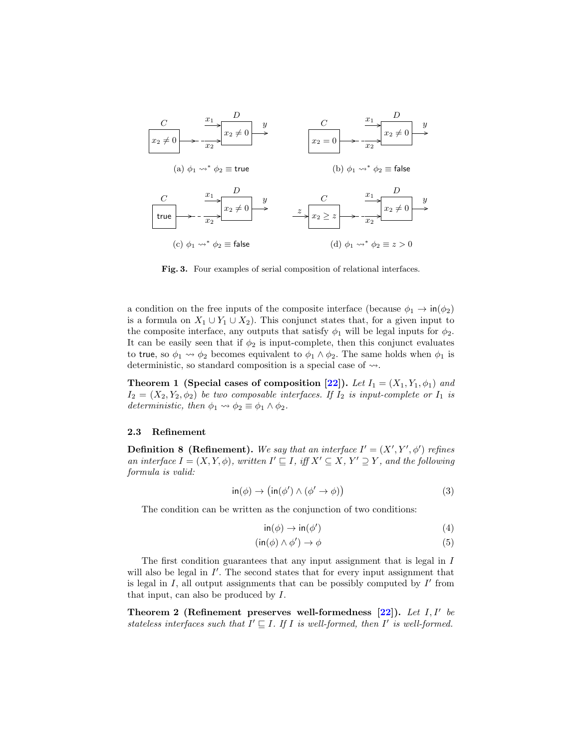

<span id="page-6-0"></span>Fig. 3. Four examples of serial composition of relational interfaces.

a condition on the free inputs of the composite interface (because  $\phi_1 \rightarrow \text{in}(\phi_2)$ ) is a formula on  $X_1 \cup Y_1 \cup X_2$ ). This conjunct states that, for a given input to the composite interface, any outputs that satisfy  $\phi_1$  will be legal inputs for  $\phi_2$ . It can be easily seen that if  $\phi_2$  is input-complete, then this conjunct evaluates to true, so  $\phi_1 \leadsto \phi_2$  becomes equivalent to  $\phi_1 \land \phi_2$ . The same holds when  $\phi_1$  is deterministic, so standard composition is a special case of  $\rightsquigarrow$ .

**Theorem 1 (Special cases of composition [\[22\]](#page-17-5)).** Let  $I_1 = (X_1, Y_1, \phi_1)$  and  $I_2 = (X_2, Y_2, \phi_2)$  be two composable interfaces. If  $I_2$  is input-complete or  $I_1$  is deterministic, then  $\phi_1 \rightsquigarrow \phi_2 \equiv \phi_1 \wedge \phi_2$ .

#### 2.3 Refinement

**Definition 8 (Refinement).** We say that an interface  $I' = (X', Y', \phi')$  refines an interface  $I = (X, Y, \phi)$ , written  $I' \sqsubseteq I$ , iff  $X' \subseteq X$ ,  $Y' \supseteq Y$ , and the following formula is valid:

<span id="page-6-2"></span>
$$
\text{in}(\phi) \to (\text{in}(\phi') \land (\phi' \to \phi))
$$
\n(3)

The condition can be written as the conjunction of two conditions:

$$
\text{in}(\phi) \to \text{in}(\phi') \tag{4}
$$

$$
(\text{in}(\phi) \land \phi') \to \phi \tag{5}
$$

The first condition guarantees that any input assignment that is legal in I will also be legal in  $I'$ . The second states that for every input assignment that is legal in  $I$ , all output assignments that can be possibly computed by  $I'$  from that input, can also be produced by I.

<span id="page-6-1"></span>Theorem 2 (Refinement preserves well-formedness  $[22]$ ). Let I, I' be stateless interfaces such that  $I' \sqsubseteq I$ . If I is well-formed, then I' is well-formed.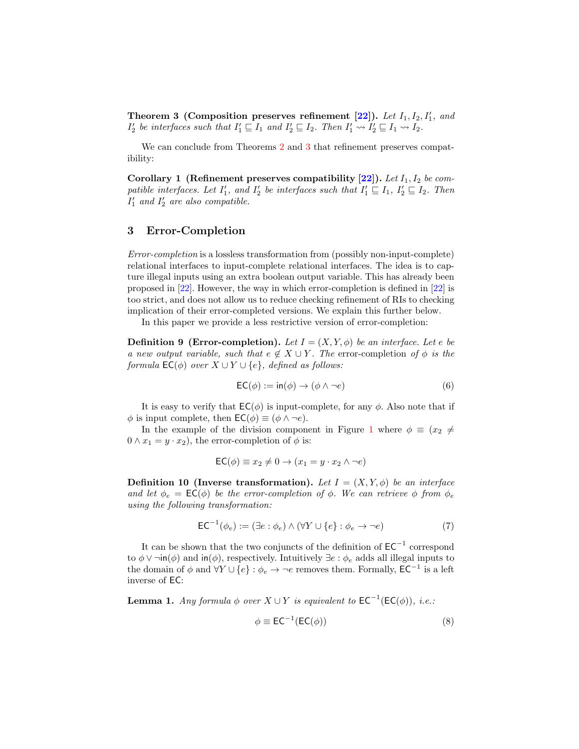<span id="page-7-1"></span>Theorem 3 (Composition preserves refinement  $[22]$ ). Let  $I_1, I_2, I'_1$ , and  $I'_2$  be interfaces such that  $I'_1 \sqsubseteq I_1$  and  $I'_2 \sqsubseteq I_2$ . Then  $I'_1 \leadsto I'_2 \sqsubseteq I_1 \leadsto I_2$ .

We can conclude from Theorems [2](#page-6-1) and [3](#page-7-1) that refinement preserves compatibility:

Corollary 1 (Refinement preserves compatibility  $[22]$ ). Let  $I_1, I_2$  be compatible interfaces. Let  $I'_1$ , and  $I'_2$  be interfaces such that  $I'_1 \sqsubseteq I_1$ ,  $I'_2 \sqsubseteq I_2$ . Then  $I'_1$  and  $I'_2$  are also compatible.

### <span id="page-7-0"></span>3 Error-Completion

Error-completion is a lossless transformation from (possibly non-input-complete) relational interfaces to input-complete relational interfaces. The idea is to capture illegal inputs using an extra boolean output variable. This has already been proposed in [\[22\]](#page-17-5). However, the way in which error-completion is defined in [\[22\]](#page-17-5) is too strict, and does not allow us to reduce checking refinement of RIs to checking implication of their error-completed versions. We explain this further below.

In this paper we provide a less restrictive version of error-completion:

**Definition 9 (Error-completion).** Let  $I = (X, Y, \phi)$  be an interface. Let e be a new output variable, such that  $e \notin X \cup Y$ . The error-completion of  $\phi$  is the formula  $\mathsf{EC}(\phi)$  over  $X \cup Y \cup \{e\}$ , defined as follows:

$$
EC(\phi) := \text{in}(\phi) \to (\phi \land \neg e) \tag{6}
$$

It is easy to verify that  $EC(\phi)$  is input-complete, for any  $\phi$ . Also note that if  $\phi$  is input complete, then  $\mathsf{EC}(\phi) \equiv (\phi \land \neg e)$ .

In the example of the division component in Figure [1](#page-3-0) where  $\phi \equiv (x_2 \neq$  $0 \wedge x_1 = y \cdot x_2$ , the error-completion of  $\phi$  is:

$$
\mathsf{EC}(\phi) \equiv x_2 \neq 0 \to (x_1 = y \cdot x_2 \land \neg e)
$$

**Definition 10 (Inverse transformation).** Let  $I = (X, Y, \phi)$  be an interface and let  $\phi_e = \mathsf{EC}(\phi)$  be the error-completion of  $\phi$ . We can retrieve  $\phi$  from  $\phi_e$ using the following transformation:

$$
EC^{-1}(\phi_e) := (\exists e : \phi_e) \land (\forall Y \cup \{e\} : \phi_e \to \neg e)
$$
\n
$$
(7)
$$

It can be shown that the two conjuncts of the definition of  $\mathsf{EC}^{-1}$  correspond to  $\phi \vee \neg \mathsf{in}(\phi)$  and  $\mathsf{in}(\phi)$ , respectively. Intuitively  $\exists e : \phi_e$  adds all illegal inputs to the domain of  $\phi$  and  $\forall Y \cup \{e\} : \phi_e \to \neg e$  removes them. Formally,  $\mathsf{EC}^{-1}$  is a left inverse of EC:

<span id="page-7-2"></span>**Lemma 1.** Any formula  $\phi$  over  $X \cup Y$  is equivalent to  $EC^{-1}(EC(\phi))$ , i.e.:

$$
\phi \equiv \mathsf{EC}^{-1}(\mathsf{EC}(\phi))\tag{8}
$$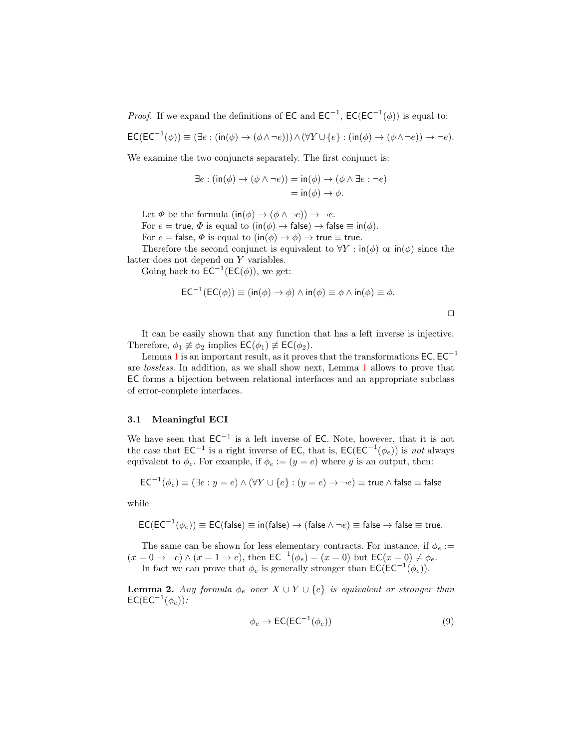*Proof.* If we expand the definitions of EC and  $EC^{-1}$ ,  $EC(EC^{-1}(\phi))$  is equal to:

$$
\mathsf{EC}(\mathsf{EC}^{-1}(\phi)) \equiv (\exists e : (\mathsf{in}(\phi) \to (\phi \land \neg e))) \land (\forall Y \cup \{e\} : (\mathsf{in}(\phi) \to (\phi \land \neg e)) \to \neg e).
$$

We examine the two conjuncts separately. The first conjunct is:

$$
\exists e : (\text{in}(\phi) \to (\phi \land \neg e)) = \text{in}(\phi) \to (\phi \land \exists e : \neg e)
$$

$$
= \text{in}(\phi) \to \phi.
$$

Let  $\Phi$  be the formula  $(in(\phi) \rightarrow (\phi \land \neg e)) \rightarrow \neg e$ .

For  $e = \text{true}, \Phi$  is equal to  $(\text{in}(\phi) \to \text{false}) \to \text{false} \equiv \text{in}(\phi)$ .

For  $e = \text{false}, \Phi$  is equal to  $(\text{in}(\phi) \to \phi) \to \text{true} \equiv \text{true}.$ 

Therefore the second conjunct is equivalent to  $\forall Y : \text{in}(\phi)$  or  $\text{in}(\phi)$  since the latter does not depend on Y variables.

Going back to  $\mathsf{EC}^{-1}(\mathsf{EC}(\phi))$ , we get:

$$
EC^{-1}(EC(\phi)) \equiv (\text{in}(\phi) \to \phi) \land \text{in}(\phi) \equiv \phi \land \text{in}(\phi) \equiv \phi.
$$

 $\Box$ 

It can be easily shown that any function that has a left inverse is injective. Therefore,  $\phi_1 \not\equiv \phi_2$  implies  $\mathsf{EC}(\phi_1) \not\equiv \mathsf{EC}(\phi_2)$ .

Lemma [1](#page-7-2) is an important result, as it proves that the transformations  $\mathsf{EC}, \mathsf{EC}^{-1}$ are lossless. In addition, as we shall show next, Lemma [1](#page-7-2) allows to prove that EC forms a bijection between relational interfaces and an appropriate subclass of error-complete interfaces.

#### 3.1 Meaningful ECI

We have seen that  $EC^{-1}$  is a left inverse of EC. Note, however, that it is not the case that  $EC^{-1}$  is a right inverse of EC, that is,  $EC(EC^{-1}(\phi_e))$  is not always equivalent to  $\phi_e$ . For example, if  $\phi_e := (y = e)$  where y is an output, then:

$$
\mathsf{EC}^{-1}(\phi_e) \equiv (\exists e: y = e) \land (\forall Y \cup \{e\}: (y = e) \rightarrow \neg e) \equiv \mathsf{true} \land \mathsf{false} \equiv \mathsf{false}
$$

while

$$
\mathsf{EC}(\mathsf{EC}^{-1}(\phi_e))\equiv \mathsf{EC}(\mathsf{false})\equiv \mathsf{in}(\mathsf{false}) \to (\mathsf{false} \wedge \neg e)\equiv \mathsf{false} \to \mathsf{false} \equiv \mathsf{true}.
$$

The same can be shown for less elementary contracts. For instance, if  $\phi_e$  :=  $(x = 0 \rightarrow \neg e) \wedge (x = 1 \rightarrow e)$ , then  $\mathsf{EC}^{-1}(\phi_e) = (x = 0)$  but  $\mathsf{EC}(x = 0) \neq \phi_e$ .

In fact we can prove that  $\phi_e$  is generally stronger than  $\mathsf{EC}(\mathsf{EC}^{-1}(\phi_e)).$ 

**Lemma 2.** Any formula  $\phi_e$  over  $X \cup Y \cup \{e\}$  is equivalent or stronger than  $\mathsf{EC}(\mathsf{EC}^{-1}(\phi_e))$  :

$$
\phi_e \to \mathsf{EC}(\mathsf{EC}^{-1}(\phi_e))\tag{9}
$$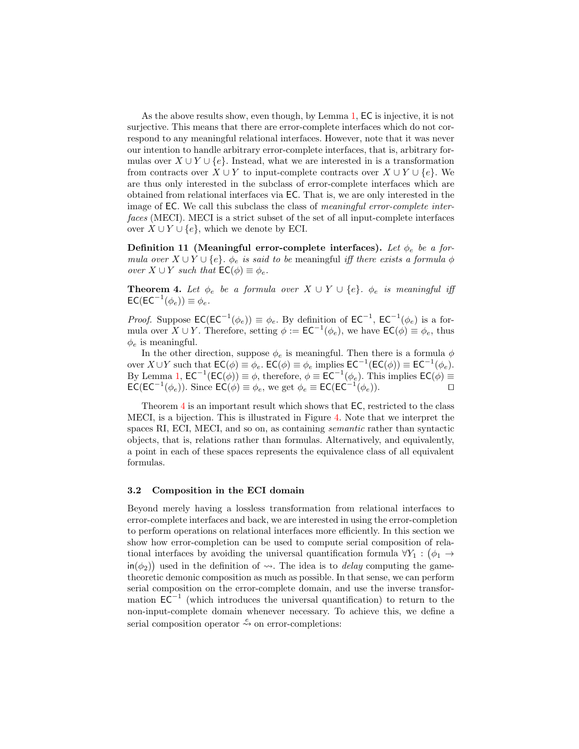As the above results show, even though, by Lemma [1,](#page-7-2) EC is injective, it is not surjective. This means that there are error-complete interfaces which do not correspond to any meaningful relational interfaces. However, note that it was never our intention to handle arbitrary error-complete interfaces, that is, arbitrary formulas over  $X \cup Y \cup \{e\}$ . Instead, what we are interested in is a transformation from contracts over  $X \cup Y$  to input-complete contracts over  $X \cup Y \cup \{e\}$ . We are thus only interested in the subclass of error-complete interfaces which are obtained from relational interfaces via EC. That is, we are only interested in the image of EC. We call this subclass the class of *meaningful error-complete inter*faces (MECI). MECI is a strict subset of the set of all input-complete interfaces over  $X \cup Y \cup \{e\}$ , which we denote by ECI.

Definition 11 (Meaningful error-complete interfaces). Let  $\phi_e$  be a formula over  $X \cup Y \cup \{e\}$ .  $\phi_e$  is said to be meaningful iff there exists a formula  $\phi$ over  $X \cup Y$  such that  $\mathsf{EC}(\phi) \equiv \phi_e$ .

<span id="page-9-0"></span>**Theorem 4.** Let  $\phi_e$  be a formula over  $X \cup Y \cup \{e\}$ .  $\phi_e$  is meaningful iff  $\mathsf{EC}(\mathsf{EC}^{-1}(\phi_e)) \equiv \phi_e.$ 

*Proof.* Suppose  $EC(EC^{-1}(\phi_e)) \equiv \phi_e$ . By definition of  $EC^{-1}$ ,  $EC^{-1}(\phi_e)$  is a formula over  $X \cup Y$ . Therefore, setting  $\phi := \mathsf{EC}^{-1}(\phi_e)$ , we have  $\mathsf{EC}(\phi) \equiv \phi_e$ , thus  $\phi_e$  is meaningful.

In the other direction, suppose  $\phi_e$  is meaningful. Then there is a formula  $\phi$ over  $X \cup Y$  such that  $\mathsf{EC}(\phi) \equiv \phi_e$ .  $\mathsf{EC}(\phi) \equiv \phi_e$  implies  $\mathsf{EC}^{-1}(\mathsf{EC}(\phi)) \equiv \mathsf{EC}^{-1}(\phi_e)$ . By Lemma [1,](#page-7-2)  $\mathsf{EC}^{-1}(\mathsf{EC}(\phi)) \equiv \phi$ , therefore,  $\phi \equiv \mathsf{EC}^{-1}(\phi_e)$ . This implies  $\mathsf{EC}(\phi) \equiv$ **EC(EC<sup>-1</sup>(** $\phi_e$ )). Since **EC**( $\phi$ ) ≡  $\phi_e$ , we get  $\phi_e$  ≡ **EC(EC<sup>-1</sup>(** $\phi_e$ )).

Theorem [4](#page-9-0) is an important result which shows that EC, restricted to the class MECI, is a bijection. This is illustrated in Figure [4.](#page-10-0) Note that we interpret the spaces RI, ECI, MECI, and so on, as containing semantic rather than syntactic objects, that is, relations rather than formulas. Alternatively, and equivalently, a point in each of these spaces represents the equivalence class of all equivalent formulas.

#### 3.2 Composition in the ECI domain

Beyond merely having a lossless transformation from relational interfaces to error-complete interfaces and back, we are interested in using the error-completion to perform operations on relational interfaces more efficiently. In this section we show how error-completion can be used to compute serial composition of relational interfaces by avoiding the universal quantification formula  $\forall Y_1 : (\phi_1 \rightarrow$  $\text{in}(\phi_2)$  used in the definition of  $\leadsto$ . The idea is to *delay* computing the gametheoretic demonic composition as much as possible. In that sense, we can perform serial composition on the error-complete domain, and use the inverse transformation  $EC^{-1}$  (which introduces the universal quantification) to return to the non-input-complete domain whenever necessary. To achieve this, we define a serial composition operator  $\stackrel{e}{\leadsto}$  on error-completions: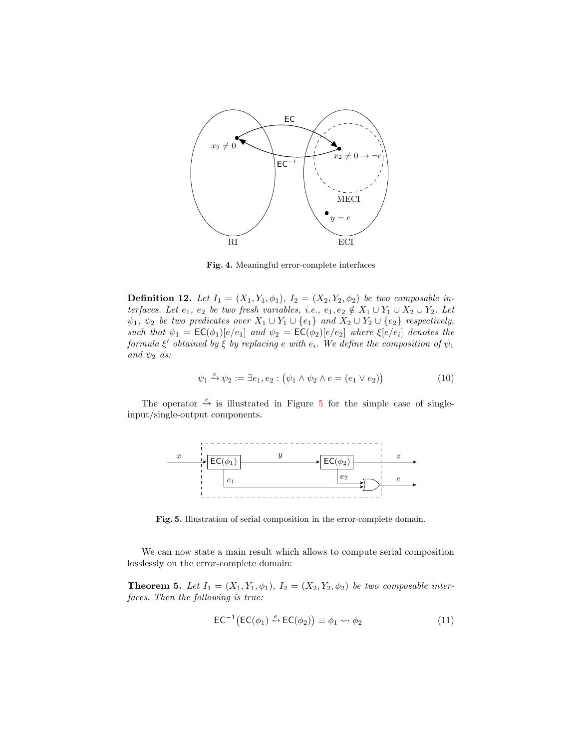

<span id="page-10-0"></span>Fig. 4. Meaningful error-complete interfaces

**Definition 12.** Let  $I_1 = (X_1, Y_1, \phi_1), I_2 = (X_2, Y_2, \phi_2)$  be two composable interfaces. Let  $e_1, e_2$  be two fresh variables, i.e.,  $e_1, e_2 \notin X_1 \cup Y_1 \cup X_2 \cup Y_2$ . Let  $\psi_1, \psi_2$  be two predicates over  $X_1 \cup Y_1 \cup \{e_1\}$  and  $X_2 \cup Y_2 \cup \{e_2\}$  respectively, such that  $\psi_1 = \mathsf{EC}(\phi_1)[e/e_1]$  and  $\psi_2 = \mathsf{EC}(\phi_2)[e/e_2]$  where  $\xi[e/e_i]$  denotes the formula  $\xi'$  obtained by  $\xi$  by replacing e with  $e_i$ . We define the composition of  $\psi_1$ and  $\psi_2$  as:

$$
\psi_1 \stackrel{e}{\leadsto} \psi_2 := \exists e_1, e_2 : (\psi_1 \land \psi_2 \land e = (e_1 \lor e_2))
$$
\n
$$
(10)
$$

The operator  $\stackrel{e}{\leadsto}$  is illustrated in Figure [5](#page-10-1) for the simple case of singleinput/single-output components.



Fig. 5. Illustration of serial composition in the error-complete domain.

We can now state a main result which allows to compute serial composition losslessly on the error-complete domain:

**Theorem 5.** Let  $I_1 = (X_1, Y_1, \phi_1), I_2 = (X_2, Y_2, \phi_2)$  be two composable interfaces. Then the following is true:

<span id="page-10-1"></span>
$$
\mathsf{EC}^{-1}(\mathsf{EC}(\phi_1) \stackrel{e}{\leadsto} \mathsf{EC}(\phi_2)) \equiv \phi_1 \leadsto \phi_2 \tag{11}
$$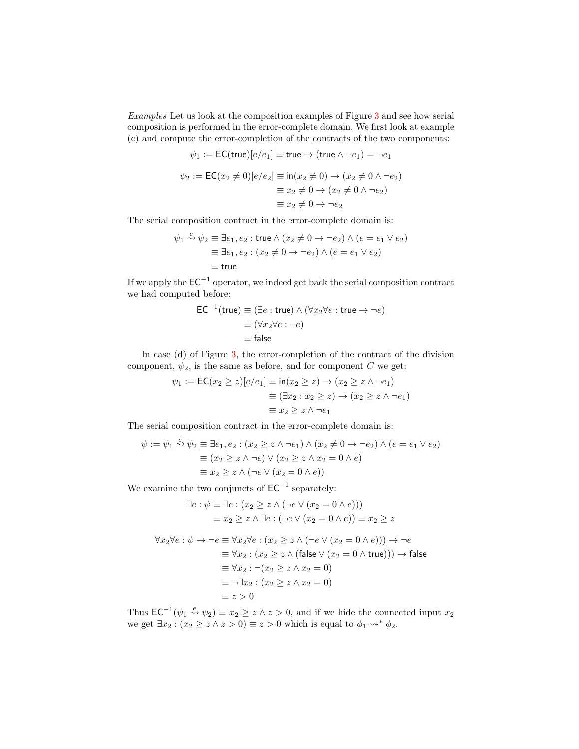Examples Let us look at the composition examples of Figure [3](#page-6-0) and see how serial composition is performed in the error-complete domain. We first look at example (c) and compute the error-completion of the contracts of the two components:

$$
\psi_1 := \mathsf{EC}(\mathsf{true})[e/e_1] \equiv \mathsf{true} \to (\mathsf{true} \land \neg e_1) = \neg e_1
$$
\n
$$
\psi_2 := \mathsf{EC}(x_2 \neq 0)[e/e_2] \equiv \mathsf{in}(x_2 \neq 0) \to (x_2 \neq 0 \land \neg e_2)
$$
\n
$$
\equiv x_2 \neq 0 \to (x_2 \neq 0 \land \neg e_2)
$$
\n
$$
\equiv x_2 \neq 0 \to \neg e_2
$$

The serial composition contract in the error-complete domain is:

$$
\psi_1 \stackrel{e}{\leadsto} \psi_2 \equiv \exists e_1, e_2 : \text{true} \land (x_2 \neq 0 \rightarrow \neg e_2) \land (e = e_1 \lor e_2)
$$

$$
\equiv \exists e_1, e_2 : (x_2 \neq 0 \rightarrow \neg e_2) \land (e = e_1 \lor e_2)
$$

$$
\equiv \text{true}
$$

If we apply the  $EC^{-1}$  operator, we indeed get back the serial composition contract we had computed before:

$$
EC^{-1}(\text{true}) \equiv (\exists e : \text{true}) \land (\forall x_2 \forall e : \text{true} \rightarrow \neg e)
$$

$$
\equiv (\forall x_2 \forall e : \neg e)
$$

$$
\equiv \text{false}
$$

In case (d) of Figure [3,](#page-6-0) the error-completion of the contract of the division component,  $\psi_2$ , is the same as before, and for component C we get:

$$
\psi_1 := \mathsf{EC}(x_2 \ge z)[e/e_1] \equiv \mathsf{in}(x_2 \ge z) \to (x_2 \ge z \land \neg e_1)
$$

$$
\equiv (\exists x_2 : x_2 \ge z) \to (x_2 \ge z \land \neg e_1)
$$

$$
\equiv x_2 \ge z \land \neg e_1
$$

The serial composition contract in the error-complete domain is:

$$
\psi := \psi_1 \stackrel{e}{\leadsto} \psi_2 \equiv \exists e_1, e_2 : (x_2 \ge z \land \neg e_1) \land (x_2 \neq 0 \to \neg e_2) \land (e = e_1 \lor e_2)
$$

$$
\equiv (x_2 \ge z \land \neg e) \lor (x_2 \ge z \land x_2 = 0 \land e)
$$

$$
\equiv x_2 \ge z \land (\neg e \lor (x_2 = 0 \land e))
$$

We examine the two conjuncts of  $EC^{-1}$  separately:

$$
\exists e : \psi \equiv \exists e : (x_2 \ge z \land (\neg e \lor (x_2 = 0 \land e)))
$$

$$
\equiv x_2 \ge z \land \exists e : (\neg e \lor (x_2 = 0 \land e)) \equiv x_2 \ge z
$$

$$
\forall x_2 \forall e : \psi \to \neg e \equiv \forall x_2 \forall e : (x_2 \ge z \land (\neg e \lor (x_2 = 0 \land e))) \to \neg e
$$
  

$$
\equiv \forall x_2 : (x_2 \ge z \land (\text{false} \lor (x_2 = 0 \land \text{true}))) \to \text{false}
$$
  

$$
\equiv \forall x_2 : \neg (x_2 \ge z \land x_2 = 0)
$$
  

$$
\equiv \neg \exists x_2 : (x_2 \ge z \land x_2 = 0)
$$
  

$$
\equiv z > 0
$$

Thus  $\mathsf{EC}^{-1}(\psi_1 \stackrel{e}{\leadsto} \psi_2) \equiv x_2 \geq z \land z > 0$ , and if we hide the connected input  $x_2$ we get  $\exists x_2 : (x_2 \ge z \land z > 0) \equiv z > 0$  which is equal to  $\phi_1 \leadsto^* \phi_2$ .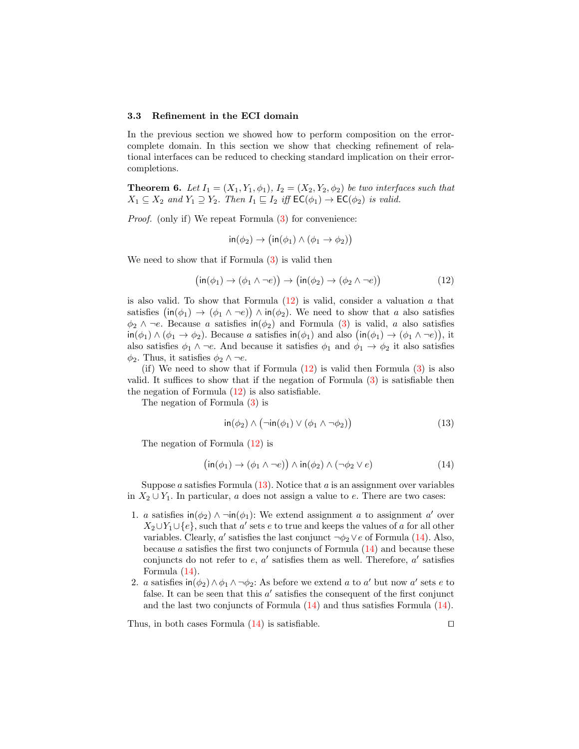#### 3.3 Refinement in the ECI domain

In the previous section we showed how to perform composition on the errorcomplete domain. In this section we show that checking refinement of relational interfaces can be reduced to checking standard implication on their errorcompletions.

<span id="page-12-3"></span>**Theorem 6.** Let  $I_1 = (X_1, Y_1, \phi_1), I_2 = (X_2, Y_2, \phi_2)$  be two interfaces such that  $X_1 \subseteq X_2$  and  $Y_1 \supseteq Y_2$ . Then  $I_1 \sqsubseteq I_2$  iff  $\mathsf{EC}(\phi_1) \to \mathsf{EC}(\phi_2)$  is valid.

Proof. (only if) We repeat Formula [\(3\)](#page-6-2) for convenience:

$$
in(\phi_2) \to (in(\phi_1) \land (\phi_1 \to \phi_2))
$$

We need to show that if Formula  $(3)$  is valid then

<span id="page-12-0"></span>
$$
(\text{in}(\phi_1) \to (\phi_1 \land \neg e)) \to (\text{in}(\phi_2) \to (\phi_2 \land \neg e))
$$
\n(12)

is also valid. To show that Formula  $(12)$  is valid, consider a valuation a that satisfies  $(\textsf{in}(\phi_1) \to (\phi_1 \land \neg e)) \land \textsf{in}(\phi_2)$ . We need to show that a also satisfies  $\phi_2 \wedge \neg e$ . Because a satisfies in $(\phi_2)$  and Formula [\(3\)](#page-6-2) is valid, a also satisfies  $\text{in}(\phi_1) \land (\phi_1 \to \phi_2)$ . Because a satisfies  $\text{in}(\phi_1)$  and also  $(\text{in}(\phi_1) \to (\phi_1 \land \neg e)),$  it also satisfies  $\phi_1 \wedge \neg e$ . And because it satisfies  $\phi_1$  and  $\phi_1 \rightarrow \phi_2$  it also satisfies  $\phi_2$ . Thus, it satisfies  $\phi_2 \wedge \neg e$ .

(if) We need to show that if Formula  $(12)$  is valid then Formula  $(3)$  is also valid. It suffices to show that if the negation of Formula [\(3\)](#page-6-2) is satisfiable then the negation of Formula [\(12\)](#page-12-0) is also satisfiable.

The negation of Formula [\(3\)](#page-6-2) is

<span id="page-12-1"></span>
$$
in(\phi_2) \land (\neg in(\phi_1) \lor (\phi_1 \land \neg \phi_2))
$$
\n(13)

The negation of Formula [\(12\)](#page-12-0) is

<span id="page-12-2"></span>
$$
(\text{in}(\phi_1) \to (\phi_1 \land \neg e)) \land \text{in}(\phi_2) \land (\neg \phi_2 \lor e) \tag{14}
$$

Suppose a satisfies Formula  $(13)$ . Notice that a is an assignment over variables in  $X_2 \cup Y_1$ . In particular, a does not assign a value to e. There are two cases:

- 1. a satisfies  $\text{in}(\phi_2) \land \neg \text{in}(\phi_1)$ : We extend assignment a to assignment a' over  $X_2 \cup Y_1 \cup \{e\}$ , such that a' sets e to true and keeps the values of a for all other variables. Clearly, a' satisfies the last conjunct  $\neg \phi_2 \lor e$  of Formula [\(14\)](#page-12-2). Also, because a satisfies the first two conjuncts of Formula  $(14)$  and because these conjuncts do not refer to  $e, a'$  satisfies them as well. Therefore,  $a'$  satisfies Formula [\(14\)](#page-12-2).
- 2. a satisfies  $\text{in}(\phi_2) \wedge \phi_1 \wedge \neg \phi_2$ : As before we extend a to a' but now a' sets e to false. It can be seen that this  $a'$  satisfies the consequent of the first conjunct and the last two conjuncts of Formula [\(14\)](#page-12-2) and thus satisfies Formula [\(14\)](#page-12-2).

Thus, in both cases Formula  $(14)$  is satisfiable.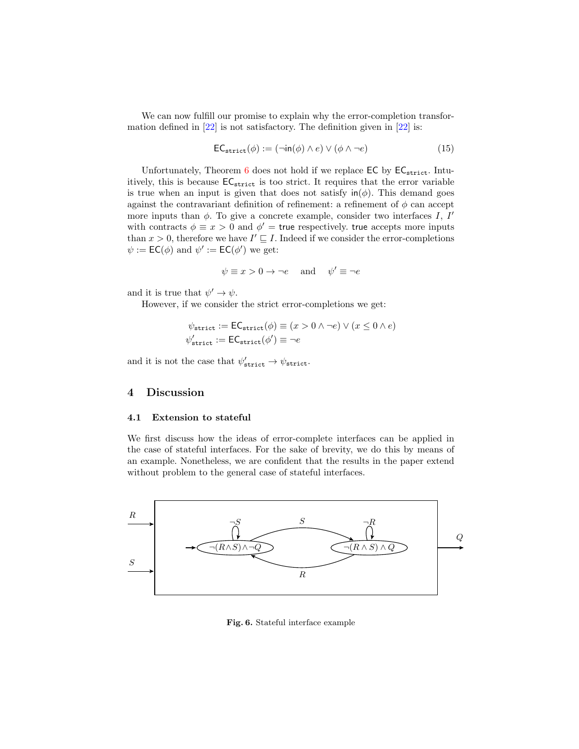We can now fulfill our promise to explain why the error-completion transformation defined in  $[22]$  is not satisfactory. The definition given in  $[22]$  is:

$$
\mathsf{EC}_{\mathsf{strict}}(\phi) := (\neg \mathsf{in}(\phi) \land e) \lor (\phi \land \neg e) \tag{15}
$$

Unfortunately, Theorem [6](#page-12-3) does not hold if we replace  $\mathsf{EC}$  by  $\mathsf{EC}_{\mathsf{strict}}$ . Intuitively, this is because  $EC_{\text{strict}}$  is too strict. It requires that the error variable is true when an input is given that does not satisfy  $\text{in}(\phi)$ . This demand goes against the contravariant definition of refinement: a refinement of  $\phi$  can accept more inputs than  $\phi$ . To give a concrete example, consider two interfaces I, I' with contracts  $\phi \equiv x > 0$  and  $\phi' =$  true respectively. true accepts more inputs than  $x > 0$ , therefore we have  $I' \sqsubseteq I$ . Indeed if we consider the error-completions  $\psi := \mathsf{EC}(\phi)$  and  $\psi' := \mathsf{EC}(\phi')$  we get:

$$
\psi \equiv x > 0 \rightarrow \neg e
$$
 and  $\psi' \equiv \neg e$ 

and it is true that  $\psi' \to \psi$ .

However, if we consider the strict error-completions we get:

$$
\psi_{\text{strict}} := \text{EC}_{\text{strict}}(\phi) \equiv (x > 0 \land \neg e) \lor (x \le 0 \land e)
$$

$$
\psi_{\text{strict}}' := \text{EC}_{\text{strict}}(\phi') \equiv \neg e
$$

and it is not the case that  $\psi'_{\text{strict}} \to \psi_{\text{strict}}$ .

### <span id="page-13-0"></span>4 Discussion

#### 4.1 Extension to stateful

We first discuss how the ideas of error-complete interfaces can be applied in the case of stateful interfaces. For the sake of brevity, we do this by means of an example. Nonetheless, we are confident that the results in the paper extend without problem to the general case of stateful interfaces.



<span id="page-13-1"></span>Fig. 6. Stateful interface example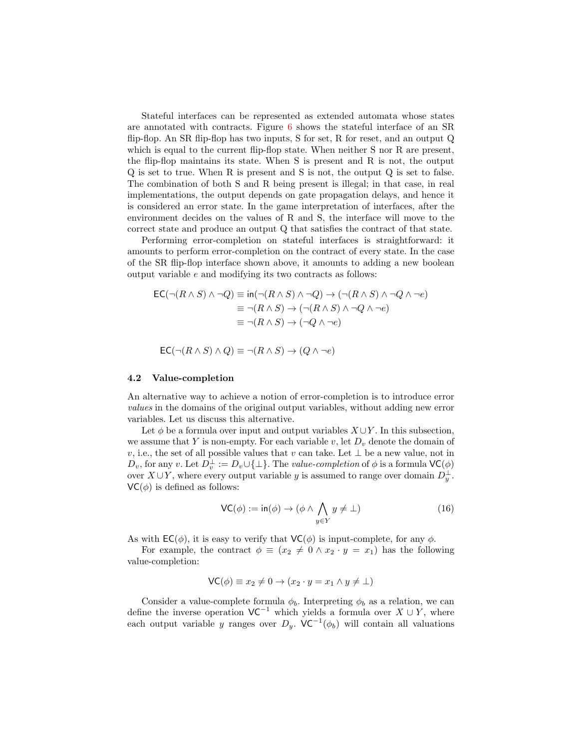Stateful interfaces can be represented as extended automata whose states are annotated with contracts. Figure  $6$  shows the stateful interface of an SR flip-flop. An SR flip-flop has two inputs, S for set, R for reset, and an output  $Q$ which is equal to the current flip-flop state. When neither S nor R are present, the flip-flop maintains its state. When S is present and R is not, the output Q is set to true. When R is present and S is not, the output Q is set to false. The combination of both S and R being present is illegal; in that case, in real implementations, the output depends on gate propagation delays, and hence it is considered an error state. In the game interpretation of interfaces, after the environment decides on the values of R and S, the interface will move to the correct state and produce an output Q that satisfies the contract of that state.

Performing error-completion on stateful interfaces is straightforward: it amounts to perform error-completion on the contract of every state. In the case of the SR flip-flop interface shown above, it amounts to adding a new boolean output variable e and modifying its two contracts as follows:

$$
EC(\neg (R \land S) \land \neg Q) \equiv \text{in}(\neg (R \land S) \land \neg Q) \to (\neg (R \land S) \land \neg Q \land \neg e)
$$

$$
\equiv \neg (R \land S) \to (\neg (R \land S) \land \neg Q \land \neg e)
$$

$$
\equiv \neg (R \land S) \to (\neg Q \land \neg e)
$$

$$
\mathsf{EC}(\neg (R \land S) \land Q) \equiv \neg (R \land S) \to (Q \land \neg e)
$$

#### 4.2 Value-completion

An alternative way to achieve a notion of error-completion is to introduce error values in the domains of the original output variables, without adding new error variables. Let us discuss this alternative.

Let  $\phi$  be a formula over input and output variables  $X \cup Y$ . In this subsection, we assume that Y is non-empty. For each variable v, let  $D<sub>v</sub>$  denote the domain of v, i.e., the set of all possible values that v can take. Let  $\perp$  be a new value, not in  $D_v$ , for any v. Let  $D_v^{\perp} := D_v \cup \{\perp\}$ . The value-completion of  $\phi$  is a formula  $\mathsf{VC}(\phi)$ over  $X \cup Y$ , where every output variable y is assumed to range over domain  $D_y^{\perp}$ .  $VC(\phi)$  is defined as follows:

$$
\mathsf{VC}(\phi) := \mathsf{in}(\phi) \to (\phi \land \bigwedge_{y \in Y} y \neq \bot) \tag{16}
$$

As with  $\mathsf{EC}(\phi)$ , it is easy to verify that  $\mathsf{VC}(\phi)$  is input-complete, for any  $\phi$ .

For example, the contract  $\phi \equiv (x_2 \neq 0 \land x_2 \cdot y = x_1)$  has the following value-completion:

$$
\mathsf{VC}(\phi) \equiv x_2 \neq 0 \to (x_2 \cdot y = x_1 \land y \neq \bot)
$$

Consider a value-complete formula  $\phi_b$ . Interpreting  $\phi_b$  as a relation, we can define the inverse operation  $VC^{-1}$  which yields a formula over  $X \cup Y$ , where each output variable y ranges over  $D_y$ . VC<sup>-1</sup>( $\phi_b$ ) will contain all valuations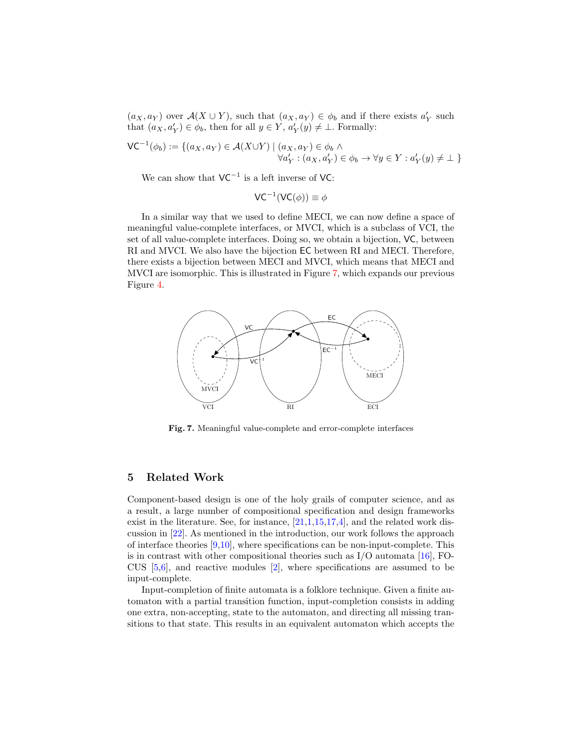$(a_X, a_Y)$  over  $\mathcal{A}(X \cup Y)$ , such that  $(a_X, a_Y) \in \phi_b$  and if there exists  $a'_Y$  such that  $(a_X, a'_Y) \in \phi_b$ , then for all  $y \in Y$ ,  $a'_Y(y) \neq \bot$ . Formally:

$$
\mathsf{VC}^{-1}(\phi_b) := \{ (a_X, a_Y) \in \mathcal{A}(X \cup Y) \mid (a_X, a_Y) \in \phi_b \land \forall a'_Y : (a_X, a'_Y) \in \phi_b \rightarrow \forall y \in Y : a'_Y(y) \neq \bot \}
$$

We can show that  $VC^{-1}$  is a left inverse of VC:

$$
VC^{-1}(VC(\phi)) \equiv \phi
$$

In a similar way that we used to define MECI, we can now define a space of meaningful value-complete interfaces, or MVCI, which is a subclass of VCI, the set of all value-complete interfaces. Doing so, we obtain a bijection, VC, between RI and MVCI. We also have the bijection EC between RI and MECI. Therefore, there exists a bijection between MECI and MVCI, which means that MECI and MVCI are isomorphic. This is illustrated in Figure [7,](#page-15-1) which expands our previous Figure [4.](#page-10-0)



<span id="page-15-1"></span>Fig. 7. Meaningful value-complete and error-complete interfaces

### <span id="page-15-0"></span>5 Related Work

Component-based design is one of the holy grails of computer science, and as a result, a large number of compositional specification and design frameworks exist in the literature. See, for instance, [\[21,](#page-17-13)[1,](#page-16-1)[15,](#page-17-14)[17](#page-17-15)[,4\]](#page-17-16), and the related work discussion in [\[22\]](#page-17-5). As mentioned in the introduction, our work follows the approach of interface theories [\[9,](#page-17-0)[10\]](#page-17-1), where specifications can be non-input-complete. This is in contrast with other compositional theories such as  $I/O$  automata [\[16\]](#page-17-7), FO-CUS  $[5,6]$  $[5,6]$ , and reactive modules  $[2]$ , where specifications are assumed to be input-complete.

Input-completion of finite automata is a folklore technique. Given a finite automaton with a partial transition function, input-completion consists in adding one extra, non-accepting, state to the automaton, and directing all missing transitions to that state. This results in an equivalent automaton which accepts the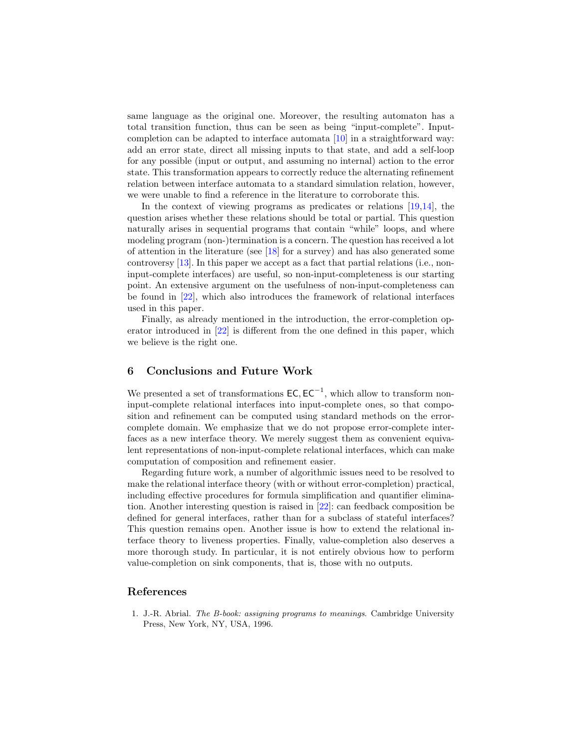same language as the original one. Moreover, the resulting automaton has a total transition function, thus can be seen as being "input-complete". Inputcompletion can be adapted to interface automata [\[10\]](#page-17-1) in a straightforward way: add an error state, direct all missing inputs to that state, and add a self-loop for any possible (input or output, and assuming no internal) action to the error state. This transformation appears to correctly reduce the alternating refinement relation between interface automata to a standard simulation relation, however, we were unable to find a reference in the literature to corroborate this.

In the context of viewing programs as predicates or relations [\[19,](#page-17-17)[14\]](#page-17-18), the question arises whether these relations should be total or partial. This question naturally arises in sequential programs that contain "while" loops, and where modeling program (non-)termination is a concern. The question has received a lot of attention in the literature (see  $\left[18\right]$  for a survey) and has also generated some controversy [\[13\]](#page-17-20). In this paper we accept as a fact that partial relations (i.e., noninput-complete interfaces) are useful, so non-input-completeness is our starting point. An extensive argument on the usefulness of non-input-completeness can be found in [\[22\]](#page-17-5), which also introduces the framework of relational interfaces used in this paper.

Finally, as already mentioned in the introduction, the error-completion operator introduced in [\[22\]](#page-17-5) is different from the one defined in this paper, which we believe is the right one.

### <span id="page-16-0"></span>6 Conclusions and Future Work

We presented a set of transformations  $\mathsf{EC}, \mathsf{EC}^{-1}$ , which allow to transform noninput-complete relational interfaces into input-complete ones, so that composition and refinement can be computed using standard methods on the errorcomplete domain. We emphasize that we do not propose error-complete interfaces as a new interface theory. We merely suggest them as convenient equivalent representations of non-input-complete relational interfaces, which can make computation of composition and refinement easier.

Regarding future work, a number of algorithmic issues need to be resolved to make the relational interface theory (with or without error-completion) practical, including effective procedures for formula simplification and quantifier elimination. Another interesting question is raised in [\[22\]](#page-17-5): can feedback composition be defined for general interfaces, rather than for a subclass of stateful interfaces? This question remains open. Another issue is how to extend the relational interface theory to liveness properties. Finally, value-completion also deserves a more thorough study. In particular, it is not entirely obvious how to perform value-completion on sink components, that is, those with no outputs.

### References

<span id="page-16-1"></span>1. J.-R. Abrial. The B-book: assigning programs to meanings. Cambridge University Press, New York, NY, USA, 1996.